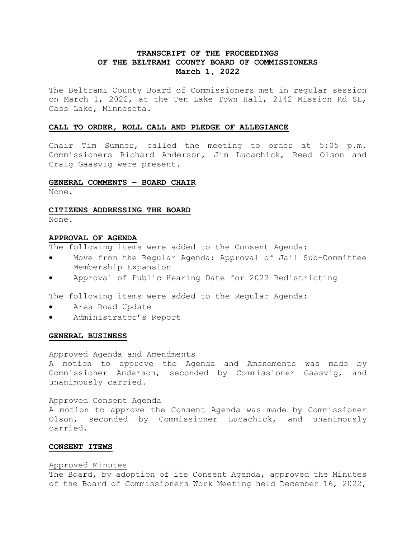# **TRANSCRIPT OF THE PROCEEDINGS OF THE BELTRAMI COUNTY BOARD OF COMMISSIONERS March 1, 2022**

The Beltrami County Board of Commissioners met in regular session on March 1, 2022, at the Ten Lake Town Hall, 2142 Mission Rd SE, Cass Lake, Minnesota.

## **CALL TO ORDER, ROLL CALL AND PLEDGE OF ALLEGIANCE**

Chair Tim Sumner, called the meeting to order at 5:05 p.m. Commissioners Richard Anderson, Jim Lucachick, Reed Olson and Craig Gaasvig were present.

#### **GENERAL COMMENTS – BOARD CHAIR**

None.

#### **CITIZENS ADDRESSING THE BOARD**

None.

#### **APPROVAL OF AGENDA**

The following items were added to the Consent Agenda:

- Move from the Regular Agenda: Approval of Jail Sub-Committee Membership Expansion
- Approval of Public Hearing Date for 2022 Redistricting

The following items were added to the Regular Agenda:

- Area Road Update
- Administrator's Report

### **GENERAL BUSINESS**

### Approved Agenda and Amendments

A motion to approve the Agenda and Amendments was made by Commissioner Anderson, seconded by Commissioner Gaasvig, and unanimously carried.

#### Approved Consent Agenda

A motion to approve the Consent Agenda was made by Commissioner Olson, seconded by Commissioner Lucachick, and unanimously carried.

#### **CONSENT ITEMS**

#### Approved Minutes

The Board, by adoption of its Consent Agenda, approved the Minutes of the Board of Commissioners Work Meeting held December 16, 2022,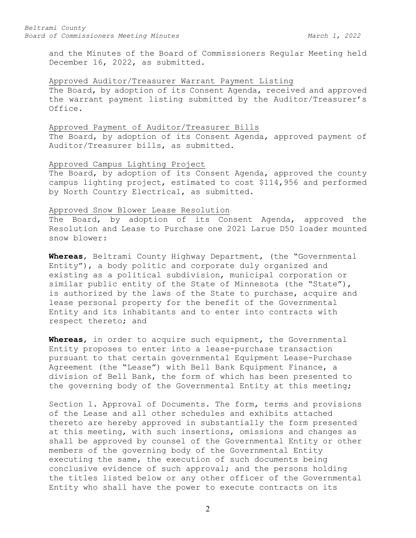and the Minutes of the Board of Commissioners Regular Meeting held December 16, 2022, as submitted.

### Approved Auditor/Treasurer Warrant Payment Listing

The Board, by adoption of its Consent Agenda, received and approved the warrant payment listing submitted by the Auditor/Treasurer's Office.

#### Approved Payment of Auditor/Treasurer Bills

The Board, by adoption of its Consent Agenda, approved payment of Auditor/Treasurer bills, as submitted.

# Approved Campus Lighting Project

The Board, by adoption of its Consent Agenda, approved the county campus lighting project, estimated to cost \$114,956 and performed by North Country Electrical, as submitted.

### Approved Snow Blower Lease Resolution

The Board, by adoption of its Consent Agenda, approved the Resolution and Lease to Purchase one 2021 Larue D50 loader mounted snow blower:

**Whereas**, Beltrami County Highway Department, (the "Governmental Entity"), a body politic and corporate duly organized and existing as a political subdivision, municipal corporation or similar public entity of the State of Minnesota (the "State"), is authorized by the laws of the State to purchase, acquire and lease personal property for the benefit of the Governmental Entity and its inhabitants and to enter into contracts with respect thereto; and

**Whereas**, in order to acquire such equipment, the Governmental Entity proposes to enter into a lease-purchase transaction pursuant to that certain governmental Equipment Lease-Purchase Agreement (the "Lease") with Bell Bank Equipment Finance, a division of Bell Bank, the form of which has been presented to the governing body of the Governmental Entity at this meeting;

Section 1. Approval of Documents. The form, terms and provisions of the Lease and all other schedules and exhibits attached thereto are hereby approved in substantially the form presented at this meeting, with such insertions, omissions and changes as shall be approved by counsel of the Governmental Entity or other members of the governing body of the Governmental Entity executing the same, the execution of such documents being conclusive evidence of such approval; and the persons holding the titles listed below or any other officer of the Governmental Entity who shall have the power to execute contracts on its

2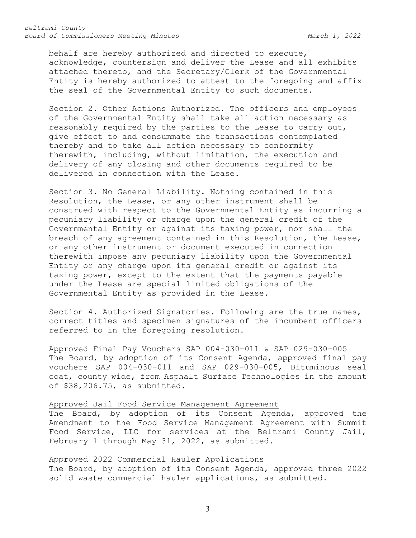*Beltrami County Board of Commissioners Meeting Minutes March 1, 2022*

behalf are hereby authorized and directed to execute, acknowledge, countersign and deliver the Lease and all exhibits attached thereto, and the Secretary/Clerk of the Governmental Entity is hereby authorized to attest to the foregoing and affix the seal of the Governmental Entity to such documents.

Section 2. Other Actions Authorized. The officers and employees of the Governmental Entity shall take all action necessary as reasonably required by the parties to the Lease to carry out, give effect to and consummate the transactions contemplated thereby and to take all action necessary to conformity therewith, including, without limitation, the execution and delivery of any closing and other documents required to be delivered in connection with the Lease.

Section 3. No General Liability. Nothing contained in this Resolution, the Lease, or any other instrument shall be construed with respect to the Governmental Entity as incurring a pecuniary liability or charge upon the general credit of the Governmental Entity or against its taxing power, nor shall the breach of any agreement contained in this Resolution, the Lease, or any other instrument or document executed in connection therewith impose any pecuniary liability upon the Governmental Entity or any charge upon its general credit or against its taxing power, except to the extent that the payments payable under the Lease are special limited obligations of the Governmental Entity as provided in the Lease.

Section 4. Authorized Signatories. Following are the true names, correct titles and specimen signatures of the incumbent officers referred to in the foregoing resolution.

Approved Final Pay Vouchers SAP 004-030-011 & SAP 029-030-005 The Board, by adoption of its Consent Agenda, approved final pay vouchers SAP 004-030-011 and SAP 029-030-005, Bituminous seal coat, county wide, from Asphalt Surface Technologies in the amount of \$38,206.75, as submitted.

### Approved Jail Food Service Management Agreement

The Board, by adoption of its Consent Agenda, approved the Amendment to the Food Service Management Agreement with Summit Food Service, LLC for services at the Beltrami County Jail, February 1 through May 31, 2022, as submitted.

Approved 2022 Commercial Hauler Applications

The Board, by adoption of its Consent Agenda, approved three 2022 solid waste commercial hauler applications, as submitted.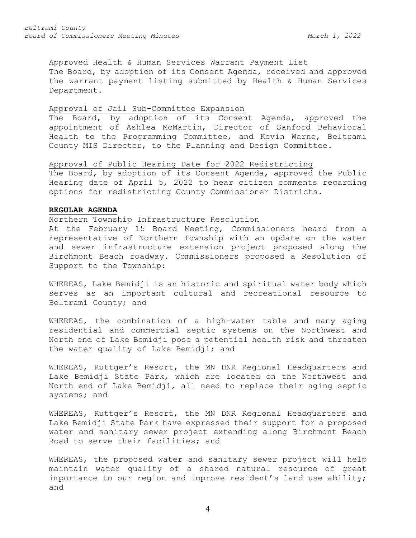# Approved Health & Human Services Warrant Payment List

The Board, by adoption of its Consent Agenda, received and approved the warrant payment listing submitted by Health & Human Services Department.

### Approval of Jail Sub-Committee Expansion

The Board, by adoption of its Consent Agenda, approved the appointment of Ashlea McMartin, Director of Sanford Behavioral Health to the Programming Committee, and Kevin Warne, Beltrami County MIS Director, to the Planning and Design Committee.

# Approval of Public Hearing Date for 2022 Redistricting

The Board, by adoption of its Consent Agenda, approved the Public Hearing date of April 5, 2022 to hear citizen comments regarding options for redistricting County Commissioner Districts.

### **REGULAR AGENDA**

### Northern Township Infrastructure Resolution

At the February 15 Board Meeting, Commissioners heard from a representative of Northern Township with an update on the water and sewer infrastructure extension project proposed along the Birchmont Beach roadway. Commissioners proposed a Resolution of Support to the Township:

WHEREAS, Lake Bemidji is an historic and spiritual water body which serves as an important cultural and recreational resource to Beltrami County; and

WHEREAS, the combination of a high-water table and many aging residential and commercial septic systems on the Northwest and North end of Lake Bemidji pose a potential health risk and threaten the water quality of Lake Bemidji; and

WHEREAS, Ruttger's Resort, the MN DNR Regional Headquarters and Lake Bemidji State Park, which are located on the Northwest and North end of Lake Bemidji, all need to replace their aging septic systems; and

WHEREAS, Ruttger's Resort, the MN DNR Regional Headquarters and Lake Bemidji State Park have expressed their support for a proposed water and sanitary sewer project extending along Birchmont Beach Road to serve their facilities; and

WHEREAS, the proposed water and sanitary sewer project will help maintain water quality of a shared natural resource of great importance to our region and improve resident's land use ability; and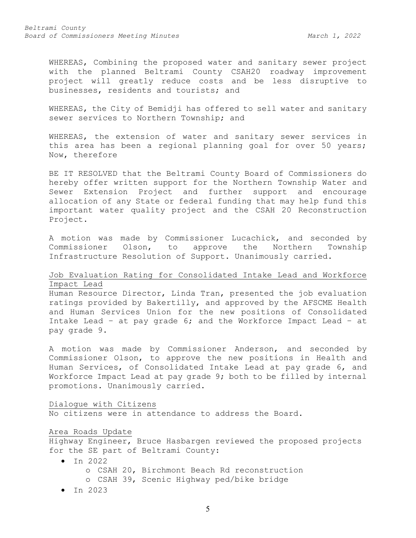WHEREAS, Combining the proposed water and sanitary sewer project with the planned Beltrami County CSAH20 roadway improvement project will greatly reduce costs and be less disruptive to businesses, residents and tourists; and

WHEREAS, the City of Bemidji has offered to sell water and sanitary sewer services to Northern Township; and

WHEREAS, the extension of water and sanitary sewer services in this area has been a regional planning goal for over 50 years; Now, therefore

BE IT RESOLVED that the Beltrami County Board of Commissioners do hereby offer written support for the Northern Township Water and Sewer Extension Project and further support and encourage allocation of any State or federal funding that may help fund this important water quality project and the CSAH 20 Reconstruction Project.

A motion was made by Commissioner Lucachick, and seconded by<br>Commissioner Olson, to approve the Northern Township Commissioner Olson, to approve the Northern Township Infrastructure Resolution of Support. Unanimously carried.

# Job Evaluation Rating for Consolidated Intake Lead and Workforce Impact Lead

Human Resource Director, Linda Tran, presented the job evaluation ratings provided by Bakertilly, and approved by the AFSCME Health and Human Services Union for the new positions of Consolidated Intake Lead – at pay grade 6; and the Workforce Impact Lead – at pay grade 9.

A motion was made by Commissioner Anderson, and seconded by Commissioner Olson, to approve the new positions in Health and Human Services, of Consolidated Intake Lead at pay grade 6, and Workforce Impact Lead at pay grade 9; both to be filled by internal promotions. Unanimously carried.

### Dialogue with Citizens

No citizens were in attendance to address the Board.

#### Area Roads Update

Highway Engineer, Bruce Hasbargen reviewed the proposed projects for the SE part of Beltrami County:

- In 2022 o CSAH 20, Birchmont Beach Rd reconstruction o CSAH 39, Scenic Highway ped/bike bridge
- In 2023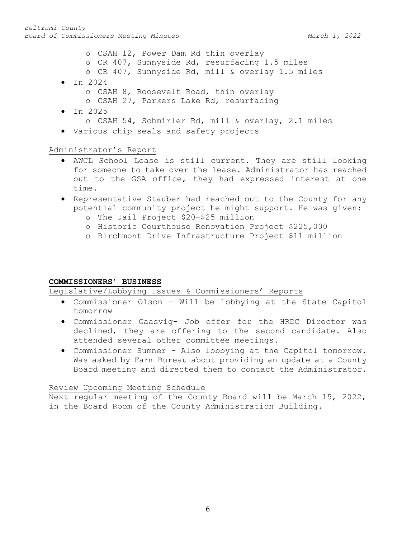- o CSAH 12, Power Dam Rd thin overlay
- o CR 407, Sunnyside Rd, resurfacing 1.5 miles
- o CR 407, Sunnyside Rd, mill & overlay 1.5 miles
- In 2024
	- o CSAH 8, Roosevelt Road, thin overlay
	- o CSAH 27, Parkers Lake Rd, resurfacing
- In 2025 o CSAH 54, Schmirler Rd, mill & overlay, 2.1 miles
	- Various chip seals and safety projects

# Administrator's Report

- AWCL School Lease is still current. They are still looking for someone to take over the lease. Administrator has reached out to the GSA office, they had expressed interest at one time.
- Representative Stauber had reached out to the County for any potential community project he might support. He was given:
	- o The Jail Project \$20-\$25 million
	- o Historic Courthouse Renovation Project \$225,000
	- o Birchmont Drive Infrastructure Project \$11 million

## **COMMISSIONERS' BUSINESS**

Legislative/Lobbying Issues & Commissioners' Reports

- Commissioner Olson Will be lobbying at the State Capitol tomorrow
- Commissioner Gaasvig- Job offer for the HRDC Director was declined, they are offering to the second candidate. Also attended several other committee meetings.
- Commissioner Sumner Also lobbying at the Capitol tomorrow. Was asked by Farm Bureau about providing an update at a County Board meeting and directed them to contact the Administrator.

## Review Upcoming Meeting Schedule

Next regular meeting of the County Board will be March 15, 2022, in the Board Room of the County Administration Building.